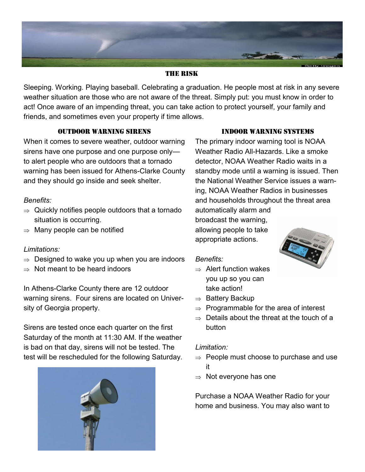

#### THE RISK

Sleeping. Working. Playing baseball. Celebrating a graduation. He people most at risk in any severe weather situation are those who are not aware of the threat. Simply put: you must know in order to act! Once aware of an impending threat, you can take action to protect yourself, your family and friends, and sometimes even your property if time allows.

#### OUTDOOR WARNING SIRENS

When it comes to severe weather, outdoor warning sirens have one purpose and one purpose only to alert people who are outdoors that a tornado warning has been issued for Athens-Clarke County and they should go inside and seek shelter.

# *Benefits:*

- $\Rightarrow$  Quickly notifies people outdoors that a tornado situation is occurring.
- $\Rightarrow$  Many people can be notified

# *Limitations:*

- $\Rightarrow$  Designed to wake you up when you are indoors
- $\Rightarrow$  Not meant to be heard indoors

In Athens-Clarke County there are 12 outdoor warning sirens. Four sirens are located on University of Georgia property.

Sirens are tested once each quarter on the first Saturday of the month at 11:30 AM. If the weather is bad on that day, sirens will not be tested. The test will be rescheduled for the following Saturday.



#### INDOOR WARNING SYSTEMS

The primary indoor warning tool is NOAA Weather Radio All-Hazards. Like a smoke detector, NOAA Weather Radio waits in a standby mode until a warning is issued. Then the National Weather Service issues a warning, NOAA Weather Radios in businesses and households throughout the threat area automatically alarm and

broadcast the warning, allowing people to take appropriate actions.

#### *Benefits:*

- $\Rightarrow$  Alert function wakes you up so you can take action!
- $\Rightarrow$  Battery Backup
- $\Rightarrow$  Programmable for the area of interest
- $\Rightarrow$  Details about the threat at the touch of a button

#### *Limitation:*

- $\Rightarrow$  People must choose to purchase and use it
- $\Rightarrow$  Not everyone has one

Purchase a NOAA Weather Radio for your home and business. You may also want to